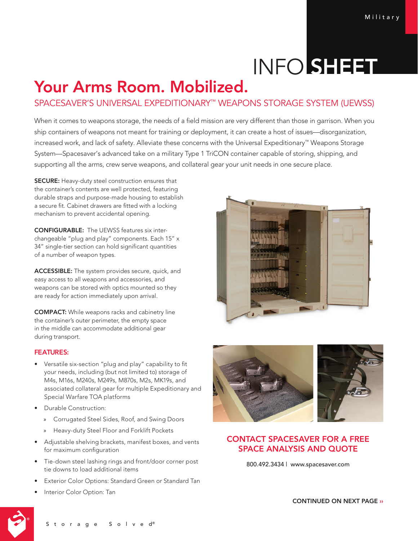# INFO SHEET

## Your Arms Room. Mobilized.

### SPACESAVER'S UNIVERSAL EXPEDITIONARY™ WEAPONS STORAGE SYSTEM (UEWSS)

When it comes to weapons storage, the needs of a field mission are very different than those in garrison. When you ship containers of weapons not meant for training or deployment, it can create a host of issues—disorganization, increased work, and lack of safety. Alleviate these concerns with the Universal Expeditionary™ Weapons Storage System—Spacesaver's advanced take on a military Type 1 TriCON container capable of storing, shipping, and supporting all the arms, crew serve weapons, and collateral gear your unit needs in one secure place.

**SECURE:** Heavy-duty steel construction ensures that the container's contents are well protected, featuring durable straps and purpose-made housing to establish a secure fit. Cabinet drawers are fitted with a locking mechanism to prevent accidental opening.

CONFIGURABLE: The UEWSS features six interchangeable "plug and play" components. Each 15" x 34" single-tier section can hold significant quantities of a number of weapon types.

ACCESSIBLE: The system provides secure, quick, and easy access to all weapons and accessories, and weapons can be stored with optics mounted so they are ready for action immediately upon arrival.

COMPACT: While weapons racks and cabinetry line the container's outer perimeter, the empty space in the middle can accommodate additional gear during transport.

#### FEATURES:

- Versatile six-section "plug and play" capability to fit your needs, including (but not limited to) storage of M4s, M16s, M240s, M249s, M870s, M2s, MK19s, and associated collateral gear for multiple Expeditionary and Special Warfare TOA platforms
- Durable Construction:
	- » Corrugated Steel Sides, Roof, and Swing Doors
	- » Heavy-duty Steel Floor and Forklift Pockets
- Adjustable shelving brackets, manifest boxes, and vents for maximum configuration
- Tie-down steel lashing rings and front/door corner post tie downs to load additional items
- Exterior Color Options: Standard Green or Standard Tan
- Interior Color Option: Tan





#### CONTACT SPACESAVER FOR A FREE SPACE ANALYSIS AND QUOTE

800.492.3434 | www.spacesaver.com

CONTINUED ON NEXT PAGE ››



Storage Solved®